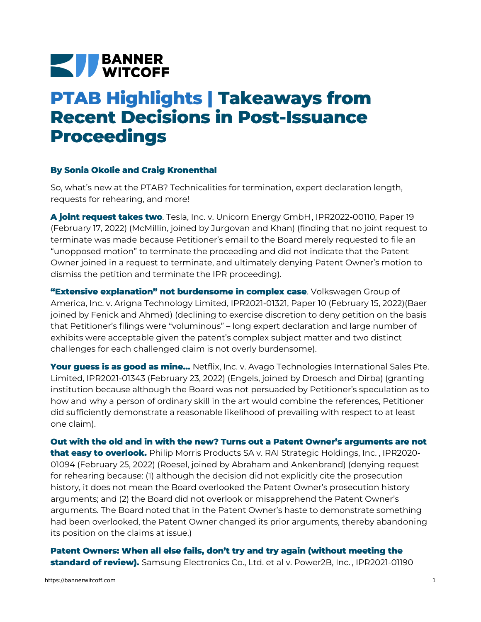## **NEW BANNER**

## **PTAB Highlights | Takeaways from Recent Decisions in Post-Issuance Proceedings**

## **By Sonia Okolie and Craig Kronenthal**

So, what's new at the PTAB? Technicalities for termination, expert declaration length, requests for rehearing, and more!

**A joint request takes two**. Tesla, Inc. v. [Unicorn](https://bannerwitcoff.com/wp-content/uploads/2022/03/IPR2022-00110.pdf) Energy GmbH, IPR2022-00110, Paper 19 (February 17, 2022) (McMillin, joined by Jurgovan and Khan) (finding that no joint request to terminate was made because Petitioner's email to the Board merely requested to file an "unopposed motion" to terminate the proceeding and did not indicate that the Patent Owner joined in a request to terminate, and ultimately denying Patent Owner's motion to dismiss the petition and terminate the IPR proceeding).

**"Extensive explanation" not burdensome in complex case**. Volkswagen Group of America, Inc. v. Arigna Technology Limited, [IPR2021-01321,](https://bannerwitcoff.com/wp-content/uploads/2022/03/IPR2021-01321.pdf) Paper 10 (February 15, 2022)(Baer joined by Fenick and Ahmed) (declining to exercise discretion to deny petition on the basis that Petitioner's filings were "voluminous" – long expert declaration and large number of exhibits were acceptable given the patent's complex subject matter and two distinct challenges for each challenged claim is not overly burdensome).

**Your guess is as good as mine…** Netflix, Inc. v. Avago Technologies International Sales Pte. Limited, [IPR2021-01343](https://bannerwitcoff.com/wp-content/uploads/2022/03/IPR2021-01343.pdf) (February 23, 2022) (Engels, joined by Droesch and Dirba) (granting institution because although the Board was not persuaded by Petitioner's speculation as to how and why a person of ordinary skill in the art would combine the references, Petitioner did sufficiently demonstrate a reasonable likelihood of prevailing with respect to at least one claim).

**Out with the old and in with the new? Turns out a Patent Owner's arguments are not that easy to overlook.** Philip Morris Products SA v. RAI Strategic [Holdings,](https://bannerwitcoff.com/wp-content/uploads/2022/03/IPR2020-01094.pdf) Inc. , IPR2020- 01094 (February 25, 2022) (Roesel, joined by Abraham and Ankenbrand) (denying request for rehearing because: (1) although the decision did not explicitly cite the prosecution history, it does not mean the Board overlooked the Patent Owner's prosecution history arguments; and (2) the Board did not overlook or misapprehend the Patent Owner's arguments. The Board noted that in the Patent Owner's haste to demonstrate something had been overlooked, the Patent Owner changed its prior arguments, thereby abandoning its position on the claims at issue.)

**Patent Owners: When all else fails, don't try and try again (without meeting the standard of review).** Samsung [Electronics](https://bannerwitcoff.com/wp-content/uploads/2022/03/IPR2021-01190.pdf) Co., Ltd. et al v. Power2B, Inc. , IPR2021-01190